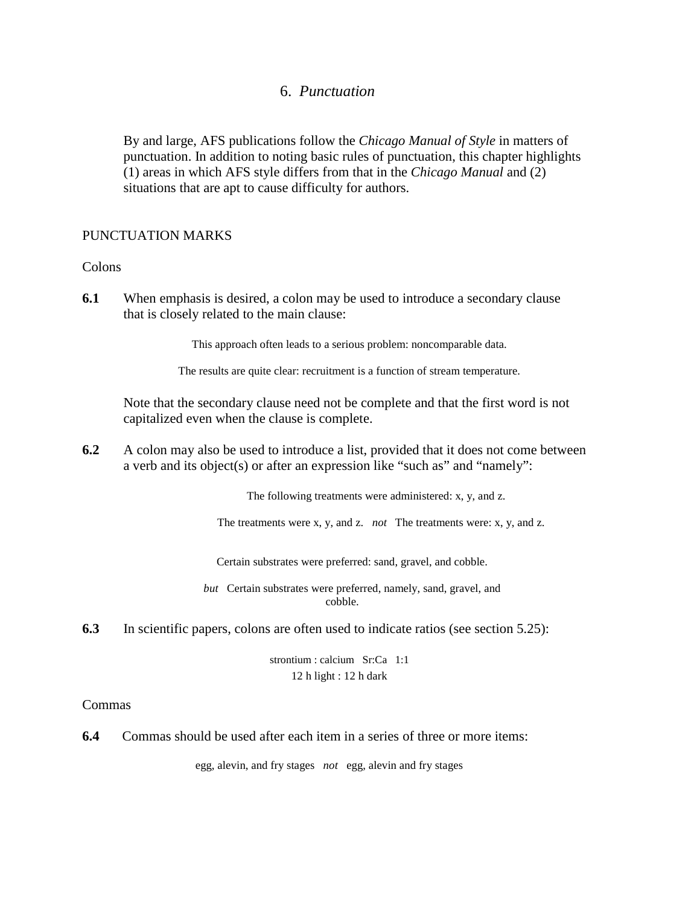# 6. *Punctuation*

By and large, AFS publications follow the *Chicago Manual of Style* in matters of punctuation. In addition to noting basic rules of punctuation, this chapter highlights (1) areas in which AFS style differs from that in the *Chicago Manual* and (2) situations that are apt to cause difficulty for authors.

## PUNCTUATION MARKS

## Colons

**6.1** When emphasis is desired, a colon may be used to introduce a secondary clause that is closely related to the main clause:

This approach often leads to a serious problem: noncomparable data.

The results are quite clear: recruitment is a function of stream temperature.

Note that the secondary clause need not be complete and that the first word is not capitalized even when the clause is complete.

**6.2** A colon may also be used to introduce a list, provided that it does not come between a verb and its object(s) or after an expression like "such as" and "namely":

The following treatments were administered: x, y, and z.

The treatments were x, y, and z. *not* The treatments were: x, y, and z.

Certain substrates were preferred: sand, gravel, and cobble.

*but* Certain substrates were preferred, namely, sand, gravel, and cobble.

**6.3** In scientific papers, colons are often used to indicate ratios (see section 5.25):

strontium : calcium Sr:Ca 1:1 12 h light : 12 h dark

### Commas

**6.4** Commas should be used after each item in a series of three or more items:

egg, alevin, and fry stages *not* egg, alevin and fry stages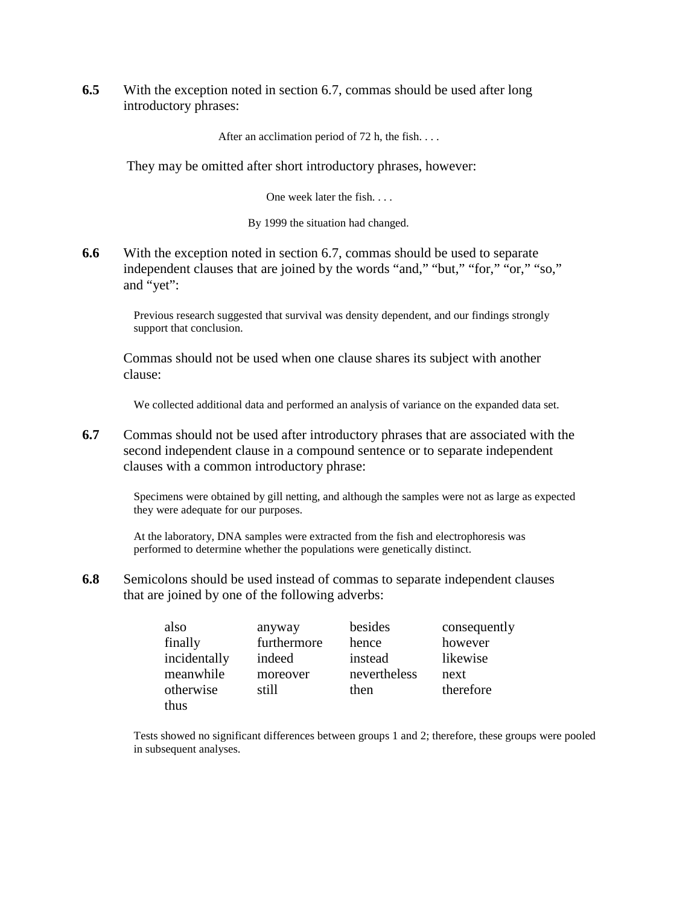**6.5** With the exception noted in section 6.7, commas should be used after long introductory phrases:

After an acclimation period of 72 h, the fish. . . .

They may be omitted after short introductory phrases, however:

One week later the fish. . . .

By 1999 the situation had changed.

**6.6** With the exception noted in section 6.7, commas should be used to separate independent clauses that are joined by the words "and," "but," "for," "or," "so," and "yet":

> Previous research suggested that survival was density dependent, and our findings strongly support that conclusion.

Commas should not be used when one clause shares its subject with another clause:

We collected additional data and performed an analysis of variance on the expanded data set.

**6.7** Commas should not be used after introductory phrases that are associated with the second independent clause in a compound sentence or to separate independent clauses with a common introductory phrase:

> Specimens were obtained by gill netting, and although the samples were not as large as expected they were adequate for our purposes.

At the laboratory, DNA samples were extracted from the fish and electrophoresis was performed to determine whether the populations were genetically distinct.

**6.8** Semicolons should be used instead of commas to separate independent clauses that are joined by one of the following adverbs:

| also         | anyway      | besides      | consequently |
|--------------|-------------|--------------|--------------|
| finally      | furthermore | hence        | however      |
| incidentally | indeed      | instead      | likewise     |
| meanwhile    | moreover    | nevertheless | next         |
| otherwise    | still       | then         | therefore    |
| thus         |             |              |              |

Tests showed no significant differences between groups 1 and 2; therefore, these groups were pooled in subsequent analyses.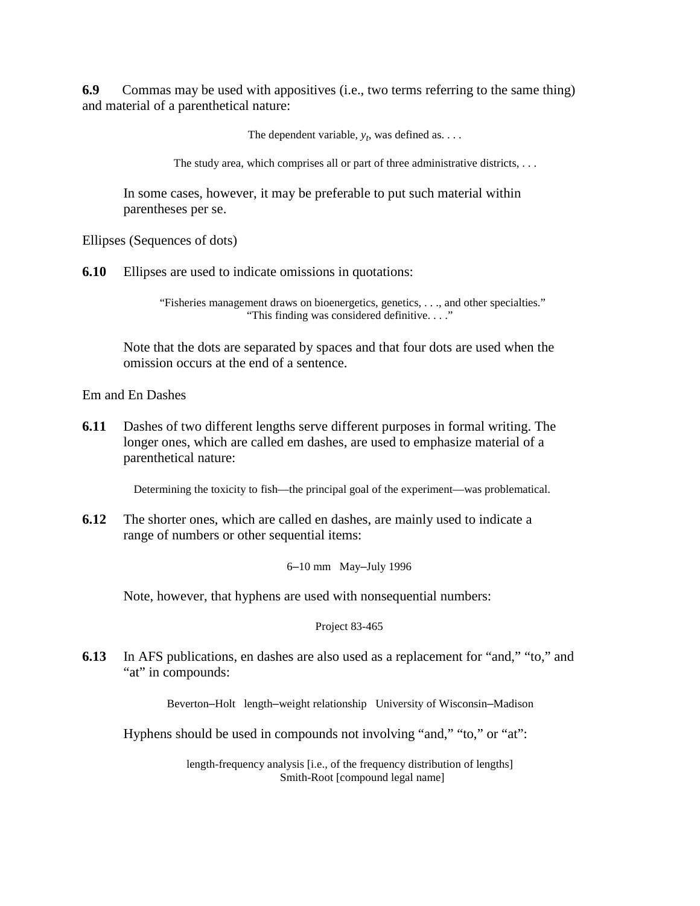**6.9** Commas may be used with appositives (i.e., two terms referring to the same thing) and material of a parenthetical nature:

The dependent variable,  $y_t$ , was defined as. . . .

The study area, which comprises all or part of three administrative districts, . . .

In some cases, however, it may be preferable to put such material within parentheses per se.

Ellipses (Sequences of dots)

**6.10** Ellipses are used to indicate omissions in quotations:

"Fisheries management draws on bioenergetics, genetics, . . ., and other specialties." "This finding was considered definitive. . . ."

Note that the dots are separated by spaces and that four dots are used when the omission occurs at the end of a sentence.

Em and En Dashes

**6.11** Dashes of two different lengths serve different purposes in formal writing. The longer ones, which are called em dashes, are used to emphasize material of a parenthetical nature:

Determining the toxicity to fish—the principal goal of the experiment—was problematical.

**6.12** The shorter ones, which are called en dashes, are mainly used to indicate a range of numbers or other sequential items:

6–10 mm May–July 1996

Note, however, that hyphens are used with nonsequential numbers:

Project 83-465

**6.13** In AFS publications, en dashes are also used as a replacement for "and," "to," and "at" in compounds:

Beverton–Holt length–weight relationship University of Wisconsin–Madison

Hyphens should be used in compounds not involving "and," "to," or "at":

length-frequency analysis [i.e., of the frequency distribution of lengths] Smith-Root [compound legal name]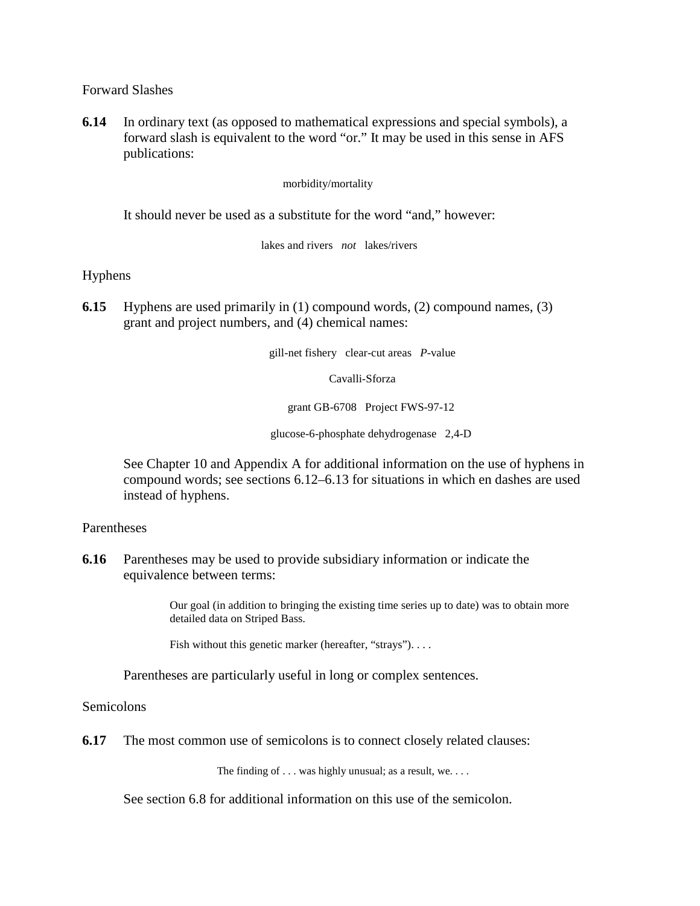Forward Slashes

**6.14** In ordinary text (as opposed to mathematical expressions and special symbols), a forward slash is equivalent to the word "or." It may be used in this sense in AFS publications:

morbidity/mortality

It should never be used as a substitute for the word "and," however:

lakes and rivers *not* lakes/rivers

Hyphens

**6.15** Hyphens are used primarily in (1) compound words, (2) compound names, (3) grant and project numbers, and (4) chemical names:

gill-net fishery clear-cut areas *P*-value

Cavalli-Sforza

grant GB-6708 Project FWS-97-12

glucose-6-phosphate dehydrogenase 2,4-D

See Chapter 10 and Appendix A for additional information on the use of hyphens in compound words; see sections 6.12–6.13 for situations in which en dashes are used instead of hyphens.

**Parentheses** 

**6.16** Parentheses may be used to provide subsidiary information or indicate the equivalence between terms:

> Our goal (in addition to bringing the existing time series up to date) was to obtain more detailed data on Striped Bass.

Fish without this genetic marker (hereafter, "strays"). . . . .

Parentheses are particularly useful in long or complex sentences.

**Semicolons** 

**6.17** The most common use of semicolons is to connect closely related clauses:

The finding of . . . was highly unusual; as a result, we. . . .

See section 6.8 for additional information on this use of the semicolon.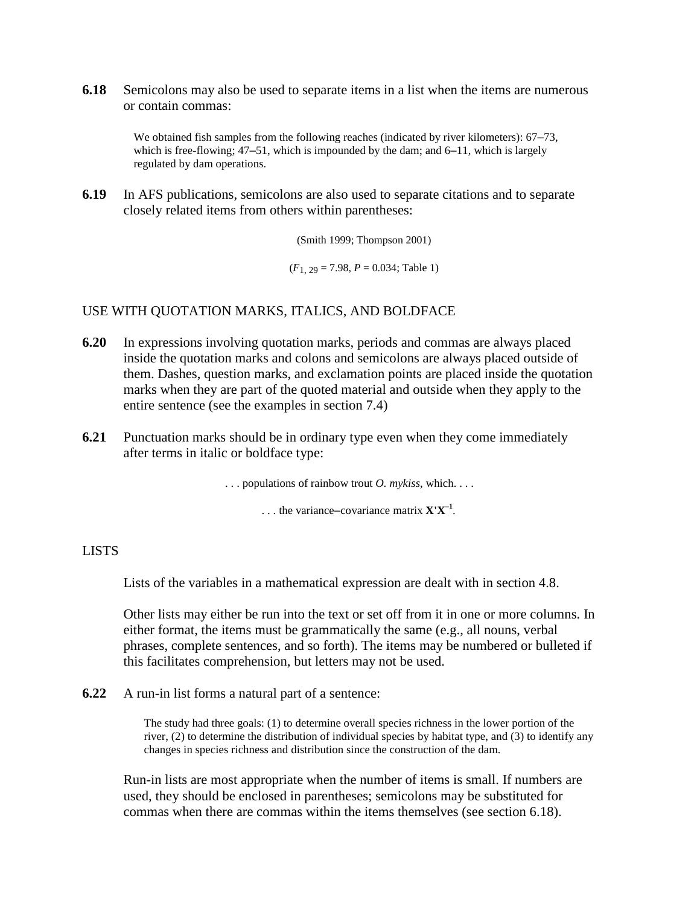**6.18** Semicolons may also be used to separate items in a list when the items are numerous or contain commas:

> We obtained fish samples from the following reaches (indicated by river kilometers): 67–73, which is free-flowing; 47–51, which is impounded by the dam; and 6–11, which is largely regulated by dam operations.

**6.19** In AFS publications, semicolons are also used to separate citations and to separate closely related items from others within parentheses:

(Smith 1999; Thompson 2001)

 $(F_1, 29 = 7.98, P = 0.034;$  Table 1)

## USE WITH QUOTATION MARKS, ITALICS, AND BOLDFACE

- **6.20** In expressions involving quotation marks, periods and commas are always placed inside the quotation marks and colons and semicolons are always placed outside of them. Dashes, question marks, and exclamation points are placed inside the quotation marks when they are part of the quoted material and outside when they apply to the entire sentence (see the examples in section 7.4)
- **6.21** Punctuation marks should be in ordinary type even when they come immediately after terms in italic or boldface type:

. . . populations of rainbow trout *O. mykiss*, which. . . .

. . . the variance–covariance matrix **X'X–1** .

### LISTS

Lists of the variables in a mathematical expression are dealt with in section 4.8.

Other lists may either be run into the text or set off from it in one or more columns. In either format, the items must be grammatically the same (e.g., all nouns, verbal phrases, complete sentences, and so forth). The items may be numbered or bulleted if this facilitates comprehension, but letters may not be used.

**6.22** A run-in list forms a natural part of a sentence:

The study had three goals: (1) to determine overall species richness in the lower portion of the river, (2) to determine the distribution of individual species by habitat type, and (3) to identify any changes in species richness and distribution since the construction of the dam.

Run-in lists are most appropriate when the number of items is small. If numbers are used, they should be enclosed in parentheses; semicolons may be substituted for commas when there are commas within the items themselves (see section 6.18).